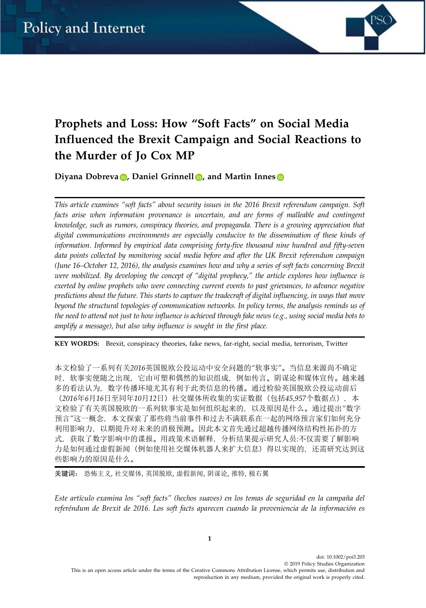

# Prophets and Loss: How "Soft Facts" on Social Media Influenced the Brexit Campaign and Social Reactions to the Murder of Jo Cox MP

Diyana Dobreva **D**[,](http://orcid.org/0000-0002-9126-6220) Danie[l](http://orcid.org/0000-0002-9337-6466) Grinnell **D**, and Martin Innes **D** 

This article examines "soft facts" about security issues in the 2016 Brexit referendum campaign. Soft facts arise when information provenance is uncertain, and are forms of malleable and contingent knowledge, such as rumors, conspiracy theories, and propaganda. There is a growing appreciation that digital communications environments are especially conducive to the dissemination of these kinds of information. Informed by empirical data comprising forty‐five thousand nine hundred and fifty‐seven data points collected by monitoring social media before and after the UK Brexit referendum campaign (June 16–October 12, 2016), the analysis examines how and why a series of soft facts concerning Brexit were mobilized. By developing the concept of "digital prophecy," the article explores how influence is exerted by online prophets who were connecting current events to past grievances, to advance negative predictions about the future. This starts to capture the tradecraft of digital influencing, in ways that move beyond the structural topologies of communication networks. In policy terms, the analysis reminds us of the need to attend not just to how influence is achieved through fake news (e.g., using social media bots to amplify a message), but also why influence is sought in the first place.

KEY WORDS: Brexit, conspiracy theories, fake news, far-right, social media, terrorism, Twitter

本文检验了一系列有关2016英国脱欧公投运动中安全问题的"软事实"。当信息来源尚不确定 时,软事实便随之出现,它由可塑和偶然的知识组成,例如传言、阴谋论和媒体宣传。越来越 多的看法认为,数字传播环境尤其有利于此类信息的传播。通过检验英国脱欧公投运动前后 (2016年6月16日至同年10月12日)社交媒体所收集的实证数据(包括45,957个数据点),本 文检验了有关英国脱欧的一系列软事实是如何组织起来的,以及原因是什么。通过提出"数字 预言"这一概念,本文探索了那些将当前事件和过去不满联系在一起的网络预言家们如何充分 利用影响力,以期提升对未来的消极预测。因此本文首先通过超越传播网络结构性拓扑的方 式,获取了数字影响中的谍报。用政策术语解释,分析结果提示研究人员:不仅需要了解影响 力是如何通过虚假新闻(例如使用社交媒体机器人来扩大信息)得以实现的,还需研究达到这 些影响力的原因是什么。

关键词: 恐怖主义, 社交媒体, 英国脱欧, 虚假新闻, 阴谋论, 推特, 极右翼

Este artículo examina los "soft facts" (hechos suaves) en los temas de seguridad en la campaña del referéndum de Brexit de 2016. Los soft facts aparecen cuando la proveniencia de la información es

doi: 10.1002/poi3.203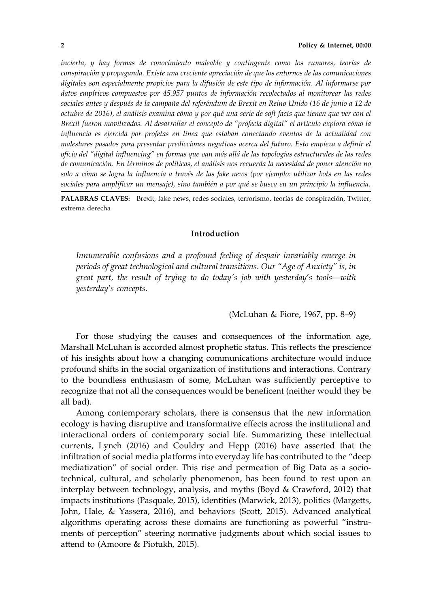incierta, y hay formas de conocimiento maleable y contingente como los rumores, teorías de conspiración y propaganda. Existe una creciente apreciación de que los entornos de las comunicaciones digitales son especialmente propicios para la difusión de este tipo de información. Al informarse por datos empíricos compuestos por 45.957 puntos de información recolectados al monitorear las redes sociales antes y después de la campaña del referéndum de Brexit en Reino Unido (16 de junio a 12 de octubre de 2016), el análisis examina cómo y por qué una serie de soft facts que tienen que ver con el Brexit fueron movilizados. Al desarrollar el concepto de "profecía digital" el artículo explora cómo la influencia es ejercida por profetas en línea que estaban conectando eventos de la actualidad con malestares pasados para presentar predicciones negativas acerca del futuro. Esto empieza a definir el oficio del "digital influencing" en formas que van más allá de las topologías estructurales de las redes de comunicación. En términos de políticas, el análisis nos recuerda la necesidad de poner atención no solo a cómo se logra la influencia a través de las fake news (por ejemplo: utilizar bots en las redes sociales para amplificar un mensaje), sino también a por qué se busca en un principio la influencia.

PALABRAS CLAVES: Brexit, fake news, redes sociales, terrorismo, teorías de conspiración, Twitter, extrema derecha

### Introduction

Innumerable confusions and a profound feeling of despair invariably emerge in periods of great technological and cultural transitions. Our "Age of Anxiety" is, in great part, the result of trying to do today's job with yesterday's tools—with yesterday's concepts.

(McLuhan & Fiore, 1967, pp. 8–9)

For those studying the causes and consequences of the information age, Marshall McLuhan is accorded almost prophetic status. This reflects the prescience of his insights about how a changing communications architecture would induce profound shifts in the social organization of institutions and interactions. Contrary to the boundless enthusiasm of some, McLuhan was sufficiently perceptive to recognize that not all the consequences would be beneficent (neither would they be all bad).

Among contemporary scholars, there is consensus that the new information ecology is having disruptive and transformative effects across the institutional and interactional orders of contemporary social life. Summarizing these intellectual currents, Lynch (2016) and Couldry and Hepp (2016) have asserted that the infiltration of social media platforms into everyday life has contributed to the "deep mediatization" of social order. This rise and permeation of Big Data as a sociotechnical, cultural, and scholarly phenomenon, has been found to rest upon an interplay between technology, analysis, and myths (Boyd & Crawford, 2012) that impacts institutions (Pasquale, 2015), identities (Marwick, 2013), politics (Margetts, John, Hale, & Yassera, 2016), and behaviors (Scott, 2015). Advanced analytical algorithms operating across these domains are functioning as powerful "instruments of perception" steering normative judgments about which social issues to attend to (Amoore & Piotukh, 2015).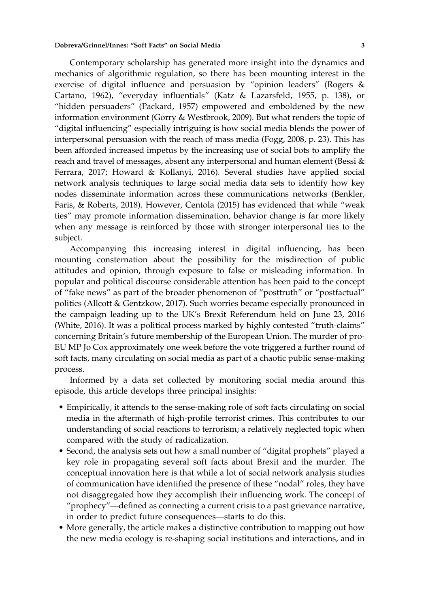Contemporary scholarship has generated more insight into the dynamics and mechanics of algorithmic regulation, so there has been mounting interest in the exercise of digital influence and persuasion by "opinion leaders" (Rogers & Cartano, 1962), "everyday influentials" (Katz & Lazarsfeld, 1955, p. 138), or "hidden persuaders" (Packard, 1957) empowered and emboldened by the new information environment (Gorry & Westbrook, 2009). But what renders the topic of "digital influencing" especially intriguing is how social media blends the power of interpersonal persuasion with the reach of mass media (Fogg, 2008, p. 23). This has been afforded increased impetus by the increasing use of social bots to amplify the reach and travel of messages, absent any interpersonal and human element (Bessi & Ferrara, 2017; Howard & Kollanyi, 2016). Several studies have applied social network analysis techniques to large social media data sets to identify how key nodes disseminate information across these communications networks (Benkler, Faris, & Roberts, 2018). However, Centola (2015) has evidenced that while "weak ties" may promote information dissemination, behavior change is far more likely when any message is reinforced by those with stronger interpersonal ties to the subject.

Accompanying this increasing interest in digital influencing, has been mounting consternation about the possibility for the misdirection of public attitudes and opinion, through exposure to false or misleading information. In popular and political discourse considerable attention has been paid to the concept of "fake news" as part of the broader phenomenon of "posttruth" or "postfactual" politics (Allcott & Gentzkow, 2017). Such worries became especially pronounced in the campaign leading up to the UK's Brexit Referendum held on June 23, 2016 (White, 2016). It was a political process marked by highly contested "truth-claims" concerning Britain's future membership of the European Union. The murder of pro-EU MP Jo Cox approximately one week before the vote triggered a further round of soft facts, many circulating on social media as part of a chaotic public sense-making process.

Informed by a data set collected by monitoring social media around this episode, this article develops three principal insights:

- Empirically, it attends to the sense‐making role of soft facts circulating on social media in the aftermath of high‐profile terrorist crimes. This contributes to our understanding of social reactions to terrorism; a relatively neglected topic when compared with the study of radicalization.
- Second, the analysis sets out how a small number of "digital prophets" played a key role in propagating several soft facts about Brexit and the murder. The conceptual innovation here is that while a lot of social network analysis studies of communication have identified the presence of these "nodal" roles, they have not disaggregated how they accomplish their influencing work. The concept of "prophecy"—defined as connecting a current crisis to a past grievance narrative, in order to predict future consequences—starts to do this.
- More generally, the article makes a distinctive contribution to mapping out how the new media ecology is re‐shaping social institutions and interactions, and in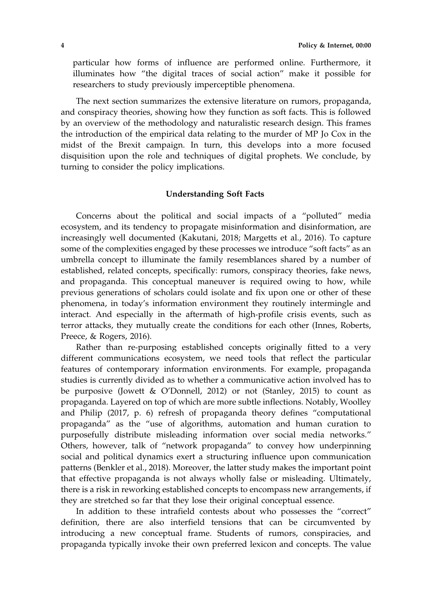particular how forms of influence are performed online. Furthermore, it illuminates how "the digital traces of social action" make it possible for researchers to study previously imperceptible phenomena.

The next section summarizes the extensive literature on rumors, propaganda, and conspiracy theories, showing how they function as soft facts. This is followed by an overview of the methodology and naturalistic research design. This frames the introduction of the empirical data relating to the murder of MP Jo Cox in the midst of the Brexit campaign. In turn, this develops into a more focused disquisition upon the role and techniques of digital prophets. We conclude, by turning to consider the policy implications.

### Understanding Soft Facts

Concerns about the political and social impacts of a "polluted" media ecosystem, and its tendency to propagate misinformation and disinformation, are increasingly well documented (Kakutani, 2018; Margetts et al., 2016). To capture some of the complexities engaged by these processes we introduce "soft facts" as an umbrella concept to illuminate the family resemblances shared by a number of established, related concepts, specifically: rumors, conspiracy theories, fake news, and propaganda. This conceptual maneuver is required owing to how, while previous generations of scholars could isolate and fix upon one or other of these phenomena, in today's information environment they routinely intermingle and interact. And especially in the aftermath of high-profile crisis events, such as terror attacks, they mutually create the conditions for each other (Innes, Roberts, Preece, & Rogers, 2016).

Rather than re-purposing established concepts originally fitted to a very different communications ecosystem, we need tools that reflect the particular features of contemporary information environments. For example, propaganda studies is currently divided as to whether a communicative action involved has to be purposive (Jowett & O'Donnell, 2012) or not (Stanley, 2015) to count as propaganda. Layered on top of which are more subtle inflections. Notably, Woolley and Philip (2017, p. 6) refresh of propaganda theory defines "computational propaganda" as the "use of algorithms, automation and human curation to purposefully distribute misleading information over social media networks." Others, however, talk of "network propaganda" to convey how underpinning social and political dynamics exert a structuring influence upon communication patterns (Benkler et al., 2018). Moreover, the latter study makes the important point that effective propaganda is not always wholly false or misleading. Ultimately, there is a risk in reworking established concepts to encompass new arrangements, if they are stretched so far that they lose their original conceptual essence.

In addition to these intrafield contests about who possesses the "correct" definition, there are also interfield tensions that can be circumvented by introducing a new conceptual frame. Students of rumors, conspiracies, and propaganda typically invoke their own preferred lexicon and concepts. The value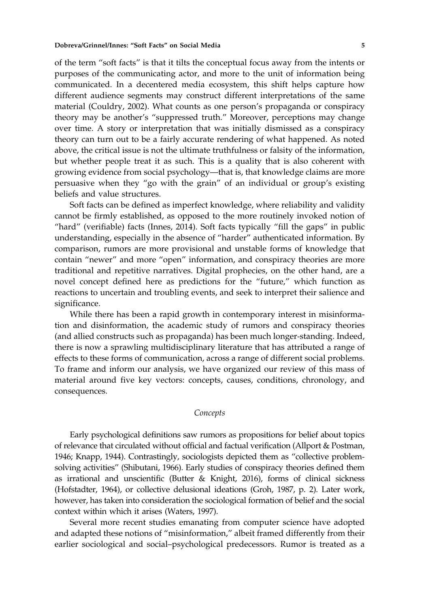of the term "soft facts" is that it tilts the conceptual focus away from the intents or purposes of the communicating actor, and more to the unit of information being communicated. In a decentered media ecosystem, this shift helps capture how different audience segments may construct different interpretations of the same material (Couldry, 2002). What counts as one person's propaganda or conspiracy theory may be another's "suppressed truth." Moreover, perceptions may change over time. A story or interpretation that was initially dismissed as a conspiracy theory can turn out to be a fairly accurate rendering of what happened. As noted above, the critical issue is not the ultimate truthfulness or falsity of the information, but whether people treat it as such. This is a quality that is also coherent with growing evidence from social psychology—that is, that knowledge claims are more persuasive when they "go with the grain" of an individual or group's existing beliefs and value structures.

Soft facts can be defined as imperfect knowledge, where reliability and validity cannot be firmly established, as opposed to the more routinely invoked notion of "hard" (verifiable) facts (Innes, 2014). Soft facts typically "fill the gaps" in public understanding, especially in the absence of "harder" authenticated information. By comparison, rumors are more provisional and unstable forms of knowledge that contain "newer" and more "open" information, and conspiracy theories are more traditional and repetitive narratives. Digital prophecies, on the other hand, are a novel concept defined here as predictions for the "future," which function as reactions to uncertain and troubling events, and seek to interpret their salience and significance.

While there has been a rapid growth in contemporary interest in misinformation and disinformation, the academic study of rumors and conspiracy theories (and allied constructs such as propaganda) has been much longer‐standing. Indeed, there is now a sprawling multidisciplinary literature that has attributed a range of effects to these forms of communication, across a range of different social problems. To frame and inform our analysis, we have organized our review of this mass of material around five key vectors: concepts, causes, conditions, chronology, and consequences.

# Concepts

Early psychological definitions saw rumors as propositions for belief about topics of relevance that circulated without official and factual verification (Allport & Postman, 1946; Knapp, 1944). Contrastingly, sociologists depicted them as "collective problem‐ solving activities" (Shibutani, 1966). Early studies of conspiracy theories defined them as irrational and unscientific (Butter & Knight, 2016), forms of clinical sickness (Hofstadter, 1964), or collective delusional ideations (Groh, 1987, p. 2). Later work, however, has taken into consideration the sociological formation of belief and the social context within which it arises (Waters, 1997).

Several more recent studies emanating from computer science have adopted and adapted these notions of "misinformation," albeit framed differently from their earlier sociological and social–psychological predecessors. Rumor is treated as a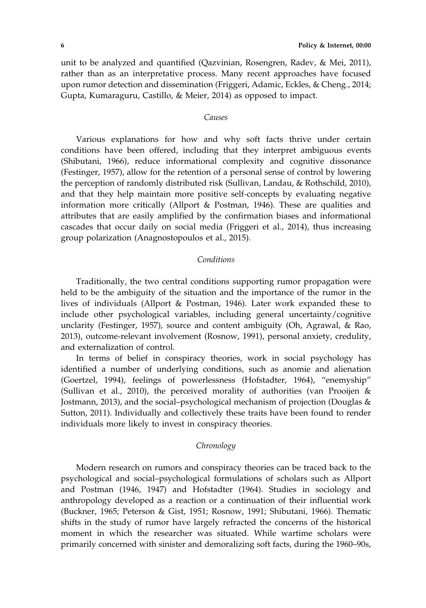unit to be analyzed and quantified (Qazvinian, Rosengren, Radev, & Mei, 2011), rather than as an interpretative process. Many recent approaches have focused upon rumor detection and dissemination (Friggeri, Adamic, Eckles, & Cheng., 2014; Gupta, Kumaraguru, Castillo, & Meier, 2014) as opposed to impact.

#### Causes

Various explanations for how and why soft facts thrive under certain conditions have been offered, including that they interpret ambiguous events (Shibutani, 1966), reduce informational complexity and cognitive dissonance (Festinger, 1957), allow for the retention of a personal sense of control by lowering the perception of randomly distributed risk (Sullivan, Landau, & Rothschild, 2010), and that they help maintain more positive self‐concepts by evaluating negative information more critically (Allport & Postman, 1946). These are qualities and attributes that are easily amplified by the confirmation biases and informational cascades that occur daily on social media (Friggeri et al., 2014), thus increasing group polarization (Anagnostopoulos et al., 2015).

#### Conditions

Traditionally, the two central conditions supporting rumor propagation were held to be the ambiguity of the situation and the importance of the rumor in the lives of individuals (Allport & Postman, 1946). Later work expanded these to include other psychological variables, including general uncertainty/cognitive unclarity (Festinger, 1957), source and content ambiguity (Oh, Agrawal, & Rao, 2013), outcome-relevant involvement (Rosnow, 1991), personal anxiety, credulity, and externalization of control.

In terms of belief in conspiracy theories, work in social psychology has identified a number of underlying conditions, such as anomie and alienation (Goertzel, 1994), feelings of powerlessness (Hofstadter, 1964), "enemyship" (Sullivan et al., 2010), the perceived morality of authorities (van Prooijen & Jostmann, 2013), and the social–psychological mechanism of projection (Douglas & Sutton, 2011). Individually and collectively these traits have been found to render individuals more likely to invest in conspiracy theories.

### Chronology

Modern research on rumors and conspiracy theories can be traced back to the psychological and social–psychological formulations of scholars such as Allport and Postman (1946, 1947) and Hofstadter (1964). Studies in sociology and anthropology developed as a reaction or a continuation of their influential work (Buckner, 1965; Peterson & Gist, 1951; Rosnow, 1991; Shibutani, 1966). Thematic shifts in the study of rumor have largely refracted the concerns of the historical moment in which the researcher was situated. While wartime scholars were primarily concerned with sinister and demoralizing soft facts, during the 1960–90s,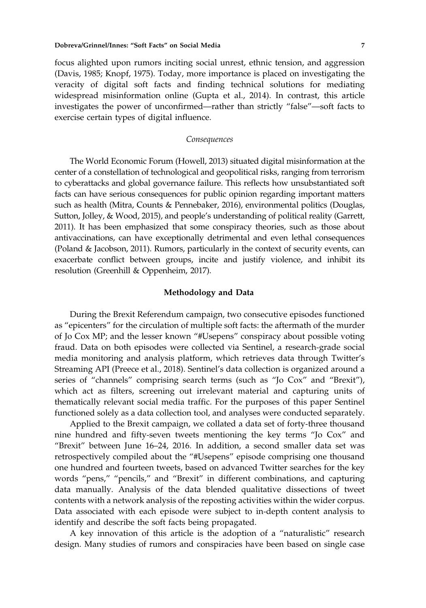focus alighted upon rumors inciting social unrest, ethnic tension, and aggression (Davis, 1985; Knopf, 1975). Today, more importance is placed on investigating the veracity of digital soft facts and finding technical solutions for mediating widespread misinformation online (Gupta et al., 2014). In contrast, this article investigates the power of unconfirmed—rather than strictly "false"—soft facts to exercise certain types of digital influence.

#### Consequences

The World Economic Forum (Howell, 2013) situated digital misinformation at the center of a constellation of technological and geopolitical risks, ranging from terrorism to cyberattacks and global governance failure. This reflects how unsubstantiated soft facts can have serious consequences for public opinion regarding important matters such as health (Mitra, Counts & Pennebaker, 2016), environmental politics (Douglas, Sutton, Jolley, & Wood, 2015), and people's understanding of political reality (Garrett, 2011). It has been emphasized that some conspiracy theories, such as those about antivaccinations, can have exceptionally detrimental and even lethal consequences (Poland & Jacobson, 2011). Rumors, particularly in the context of security events, can exacerbate conflict between groups, incite and justify violence, and inhibit its resolution (Greenhill & Oppenheim, 2017).

#### Methodology and Data

During the Brexit Referendum campaign, two consecutive episodes functioned as "epicenters" for the circulation of multiple soft facts: the aftermath of the murder of Jo Cox MP; and the lesser known "#Usepens" conspiracy about possible voting fraud. Data on both episodes were collected via Sentinel, a research‐grade social media monitoring and analysis platform, which retrieves data through Twitter's Streaming API (Preece et al., 2018). Sentinel's data collection is organized around a series of "channels" comprising search terms (such as "Jo Cox" and "Brexit"), which act as filters, screening out irrelevant material and capturing units of thematically relevant social media traffic. For the purposes of this paper Sentinel functioned solely as a data collection tool, and analyses were conducted separately.

Applied to the Brexit campaign, we collated a data set of forty‐three thousand nine hundred and fifty‐seven tweets mentioning the key terms "Jo Cox" and "Brexit" between June 16–24, 2016. In addition, a second smaller data set was retrospectively compiled about the "#Usepens" episode comprising one thousand one hundred and fourteen tweets, based on advanced Twitter searches for the key words "pens," "pencils," and "Brexit" in different combinations, and capturing data manually. Analysis of the data blended qualitative dissections of tweet contents with a network analysis of the reposting activities within the wider corpus. Data associated with each episode were subject to in‐depth content analysis to identify and describe the soft facts being propagated.

A key innovation of this article is the adoption of a "naturalistic" research design. Many studies of rumors and conspiracies have been based on single case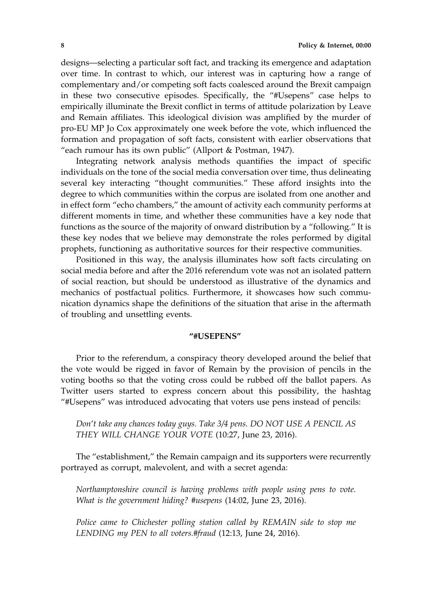designs—selecting a particular soft fact, and tracking its emergence and adaptation over time. In contrast to which, our interest was in capturing how a range of complementary and/or competing soft facts coalesced around the Brexit campaign in these two consecutive episodes. Specifically, the "#Usepens" case helps to empirically illuminate the Brexit conflict in terms of attitude polarization by Leave and Remain affiliates. This ideological division was amplified by the murder of pro‐EU MP Jo Cox approximately one week before the vote, which influenced the formation and propagation of soft facts, consistent with earlier observations that "each rumour has its own public" (Allport & Postman, 1947).

Integrating network analysis methods quantifies the impact of specific individuals on the tone of the social media conversation over time, thus delineating several key interacting "thought communities." These afford insights into the degree to which communities within the corpus are isolated from one another and in effect form "echo chambers," the amount of activity each community performs at different moments in time, and whether these communities have a key node that functions as the source of the majority of onward distribution by a "following." It is these key nodes that we believe may demonstrate the roles performed by digital prophets, functioning as authoritative sources for their respective communities.

Positioned in this way, the analysis illuminates how soft facts circulating on social media before and after the 2016 referendum vote was not an isolated pattern of social reaction, but should be understood as illustrative of the dynamics and mechanics of postfactual politics. Furthermore, it showcases how such communication dynamics shape the definitions of the situation that arise in the aftermath of troubling and unsettling events.

#### "#USEPENS"

Prior to the referendum, a conspiracy theory developed around the belief that the vote would be rigged in favor of Remain by the provision of pencils in the voting booths so that the voting cross could be rubbed off the ballot papers. As Twitter users started to express concern about this possibility, the hashtag "#Usepens" was introduced advocating that voters use pens instead of pencils:

Don't take any chances today guys. Take 3/4 pens. DO NOT USE A PENCIL AS THEY WILL CHANGE YOUR VOTE (10:27, June 23, 2016).

The "establishment," the Remain campaign and its supporters were recurrently portrayed as corrupt, malevolent, and with a secret agenda:

Northamptonshire council is having problems with people using pens to vote. What is the government hiding? #usepens (14:02, June 23, 2016).

Police came to Chichester polling station called by REMAIN side to stop me LENDING my PEN to all voters.#fraud (12:13, June 24, 2016).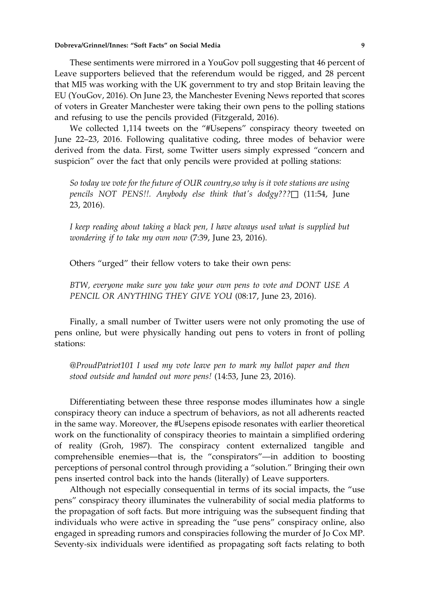These sentiments were mirrored in a YouGov poll suggesting that 46 percent of Leave supporters believed that the referendum would be rigged, and 28 percent that MI5 was working with the UK government to try and stop Britain leaving the EU (YouGov, 2016). On June 23, the Manchester Evening News reported that scores of voters in Greater Manchester were taking their own pens to the polling stations and refusing to use the pencils provided (Fitzgerald, 2016).

We collected 1,114 tweets on the "#Usepens" conspiracy theory tweeted on June 22–23, 2016. Following qualitative coding, three modes of behavior were derived from the data. First, some Twitter users simply expressed "concern and suspicion" over the fact that only pencils were provided at polling stations:

So today we vote for the future of OUR country,so why is it vote stations are using pencils NOT PENS!!. Anybody else think that's dodgy??? $\Box$  (11:54, June 23, 2016).

I keep reading about taking a black pen, I have always used what is supplied but wondering if to take my own now (7:39, June 23, 2016).

Others "urged" their fellow voters to take their own pens:

BTW, everyone make sure you take your own pens to vote and DONT USE A PENCIL OR ANYTHING THEY GIVE YOU (08:17, June 23, 2016).

Finally, a small number of Twitter users were not only promoting the use of pens online, but were physically handing out pens to voters in front of polling stations:

@ProudPatriot101 I used my vote leave pen to mark my ballot paper and then stood outside and handed out more pens! (14:53, June 23, 2016).

Differentiating between these three response modes illuminates how a single conspiracy theory can induce a spectrum of behaviors, as not all adherents reacted in the same way. Moreover, the #Usepens episode resonates with earlier theoretical work on the functionality of conspiracy theories to maintain a simplified ordering of reality (Groh, 1987). The conspiracy content externalized tangible and comprehensible enemies—that is, the "conspirators"—in addition to boosting perceptions of personal control through providing a "solution." Bringing their own pens inserted control back into the hands (literally) of Leave supporters.

Although not especially consequential in terms of its social impacts, the "use pens" conspiracy theory illuminates the vulnerability of social media platforms to the propagation of soft facts. But more intriguing was the subsequent finding that individuals who were active in spreading the "use pens" conspiracy online, also engaged in spreading rumors and conspiracies following the murder of Jo Cox MP. Seventy‐six individuals were identified as propagating soft facts relating to both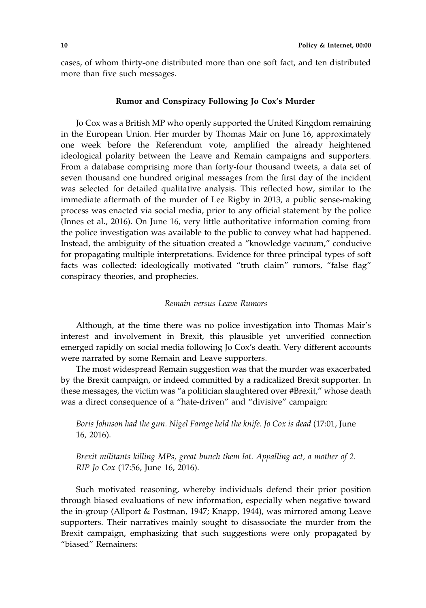cases, of whom thirty‐one distributed more than one soft fact, and ten distributed more than five such messages.

#### Rumor and Conspiracy Following Jo Cox's Murder

Jo Cox was a British MP who openly supported the United Kingdom remaining in the European Union. Her murder by Thomas Mair on June 16, approximately one week before the Referendum vote, amplified the already heightened ideological polarity between the Leave and Remain campaigns and supporters. From a database comprising more than forty-four thousand tweets, a data set of seven thousand one hundred original messages from the first day of the incident was selected for detailed qualitative analysis. This reflected how, similar to the immediate aftermath of the murder of Lee Rigby in 2013, a public sense-making process was enacted via social media, prior to any official statement by the police (Innes et al., 2016). On June 16, very little authoritative information coming from the police investigation was available to the public to convey what had happened. Instead, the ambiguity of the situation created a "knowledge vacuum," conducive for propagating multiple interpretations. Evidence for three principal types of soft facts was collected: ideologically motivated "truth claim" rumors, "false flag" conspiracy theories, and prophecies.

#### Remain versus Leave Rumors

Although, at the time there was no police investigation into Thomas Mair's interest and involvement in Brexit, this plausible yet unverified connection emerged rapidly on social media following Jo Cox's death. Very different accounts were narrated by some Remain and Leave supporters.

The most widespread Remain suggestion was that the murder was exacerbated by the Brexit campaign, or indeed committed by a radicalized Brexit supporter. In these messages, the victim was "a politician slaughtered over #Brexit," whose death was a direct consequence of a "hate-driven" and "divisive" campaign:

Boris Johnson had the gun. Nigel Farage held the knife. Jo Cox is dead (17:01, June 16, 2016).

Brexit militants killing MPs, great bunch them lot. Appalling act, a mother of 2. RIP Jo Cox (17:56, June 16, 2016).

Such motivated reasoning, whereby individuals defend their prior position through biased evaluations of new information, especially when negative toward the in‐group (Allport & Postman, 1947; Knapp, 1944), was mirrored among Leave supporters. Their narratives mainly sought to disassociate the murder from the Brexit campaign, emphasizing that such suggestions were only propagated by "biased" Remainers: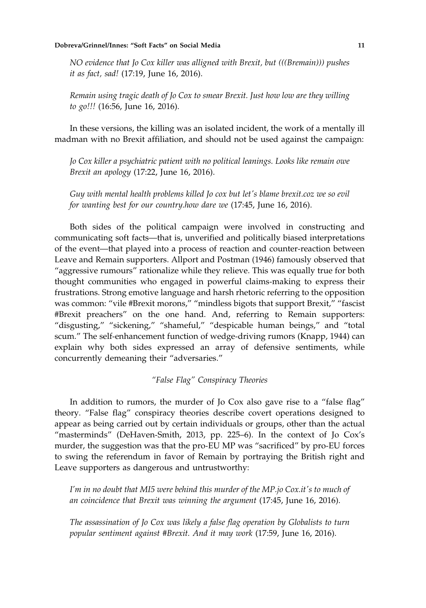#### Dobreva/Grinnel/Innes: "Soft Facts" on Social Media 11

NO evidence that Jo Cox killer was alligned with Brexit, but (((Bremain))) pushes it as fact, sad! (17:19, June 16, 2016).

Remain using tragic death of Jo Cox to smear Brexit. Just how low are they willing to go!!! (16:56, June 16, 2016).

In these versions, the killing was an isolated incident, the work of a mentally ill madman with no Brexit affiliation, and should not be used against the campaign:

Jo Cox killer a psychiatric patient with no political leanings. Looks like remain owe Brexit an apology (17:22, June 16, 2016).

Guy with mental health problems killed Jo cox but let's blame brexit.coz we so evil for wanting best for our country.how dare we (17:45, June 16, 2016).

Both sides of the political campaign were involved in constructing and communicating soft facts—that is, unverified and politically biased interpretations of the event—that played into a process of reaction and counter‐reaction between Leave and Remain supporters. Allport and Postman (1946) famously observed that "aggressive rumours" rationalize while they relieve. This was equally true for both thought communities who engaged in powerful claims‐making to express their frustrations. Strong emotive language and harsh rhetoric referring to the opposition was common: "vile #Brexit morons," "mindless bigots that support Brexit," "fascist #Brexit preachers" on the one hand. And, referring to Remain supporters: "disgusting," "sickening," "shameful," "despicable human beings," and "total scum." The self-enhancement function of wedge-driving rumors (Knapp, 1944) can explain why both sides expressed an array of defensive sentiments, while concurrently demeaning their "adversaries."

# "False Flag" Conspiracy Theories

In addition to rumors, the murder of Jo Cox also gave rise to a "false flag" theory. "False flag" conspiracy theories describe covert operations designed to appear as being carried out by certain individuals or groups, other than the actual "masterminds" (DeHaven-Smith, 2013, pp. 225-6). In the context of Jo Cox's murder, the suggestion was that the pro‐EU MP was "sacrificed" by pro‐EU forces to swing the referendum in favor of Remain by portraying the British right and Leave supporters as dangerous and untrustworthy:

I'm in no doubt that MI5 were behind this murder of the MP.jo Cox.it's to much of an coincidence that Brexit was winning the argument (17:45, June 16, 2016).

The assassination of Jo Cox was likely a false flag operation by Globalists to turn popular sentiment against #Brexit. And it may work (17:59, June 16, 2016).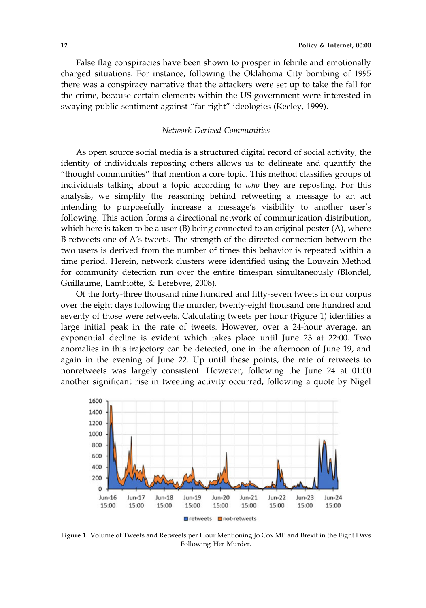False flag conspiracies have been shown to prosper in febrile and emotionally charged situations. For instance, following the Oklahoma City bombing of 1995 there was a conspiracy narrative that the attackers were set up to take the fall for the crime, because certain elements within the US government were interested in swaying public sentiment against "far-right" ideologies (Keeley, 1999).

#### Network‐Derived Communities

As open source social media is a structured digital record of social activity, the identity of individuals reposting others allows us to delineate and quantify the "thought communities" that mention a core topic. This method classifies groups of individuals talking about a topic according to who they are reposting. For this analysis, we simplify the reasoning behind retweeting a message to an act intending to purposefully increase a message's visibility to another user's following. This action forms a directional network of communication distribution, which here is taken to be a user (B) being connected to an original poster (A), where B retweets one of A's tweets. The strength of the directed connection between the two users is derived from the number of times this behavior is repeated within a time period. Herein, network clusters were identified using the Louvain Method for community detection run over the entire timespan simultaneously (Blondel, Guillaume, Lambiotte, & Lefebvre, 2008).

Of the forty‐three thousand nine hundred and fifty‐seven tweets in our corpus over the eight days following the murder, twenty‐eight thousand one hundred and seventy of those were retweets. Calculating tweets per hour (Figure 1) identifies a large initial peak in the rate of tweets. However, over a 24‐hour average, an exponential decline is evident which takes place until June 23 at 22:00. Two anomalies in this trajectory can be detected, one in the afternoon of June 19, and again in the evening of June 22. Up until these points, the rate of retweets to nonretweets was largely consistent. However, following the June 24 at 01:00 another significant rise in tweeting activity occurred, following a quote by Nigel



Figure 1. Volume of Tweets and Retweets per Hour Mentioning Jo Cox MP and Brexit in the Eight Days Following Her Murder.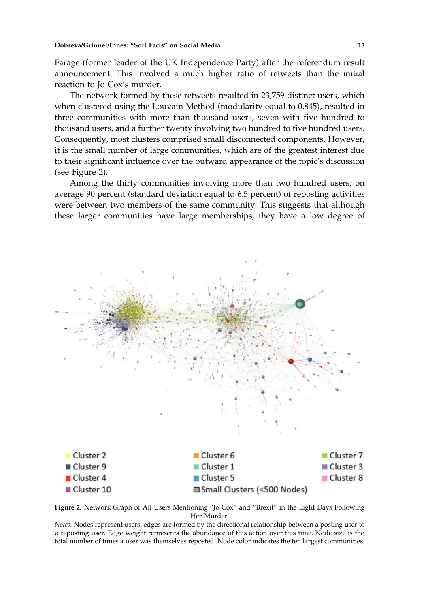Farage (former leader of the UK Independence Party) after the referendum result announcement. This involved a much higher ratio of retweets than the initial reaction to Jo Cox's murder.

The network formed by these retweets resulted in 23,759 distinct users, which when clustered using the Louvain Method (modularity equal to 0.845), resulted in three communities with more than thousand users, seven with five hundred to thousand users, and a further twenty involving two hundred to five hundred users. Consequently, most clusters comprised small disconnected components. However, it is the small number of large communities, which are of the greatest interest due to their significant influence over the outward appearance of the topic's discussion (see Figure 2).

Among the thirty communities involving more than two hundred users, on average 90 percent (standard deviation equal to 6.5 percent) of reposting activities were between two members of the same community. This suggests that although these larger communities have large memberships, they have a low degree of



Figure 2. Network Graph of All Users Mentioning "Jo Cox" and "Brexit" in the Eight Days Following Her Murder.

Notes: Nodes represent users, edges are formed by the directional relationship between a posting user to a reposting user. Edge weight represents the abundance of this action over this time. Node size is the total number of times a user was themselves reposted. Node color indicates the ten largest communities.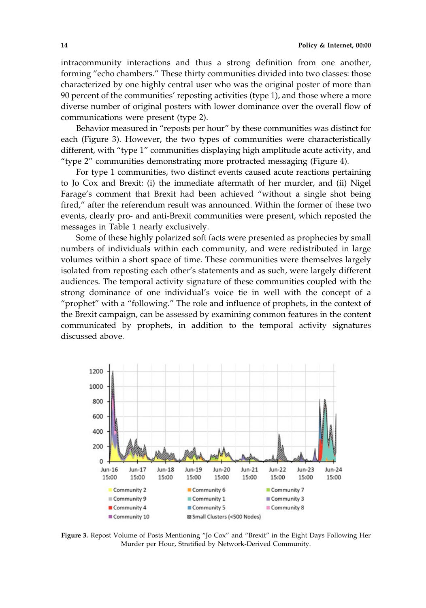intracommunity interactions and thus a strong definition from one another, forming "echo chambers." These thirty communities divided into two classes: those characterized by one highly central user who was the original poster of more than 90 percent of the communities' reposting activities (type 1), and those where a more diverse number of original posters with lower dominance over the overall flow of communications were present (type 2).

Behavior measured in "reposts per hour" by these communities was distinct for each (Figure 3). However, the two types of communities were characteristically different, with "type 1" communities displaying high amplitude acute activity, and "type 2" communities demonstrating more protracted messaging (Figure 4).

For type 1 communities, two distinct events caused acute reactions pertaining to Jo Cox and Brexit: (i) the immediate aftermath of her murder, and (ii) Nigel Farage's comment that Brexit had been achieved "without a single shot being fired," after the referendum result was announced. Within the former of these two events, clearly pro‐ and anti‐Brexit communities were present, which reposted the messages in Table 1 nearly exclusively.

Some of these highly polarized soft facts were presented as prophecies by small numbers of individuals within each community, and were redistributed in large volumes within a short space of time. These communities were themselves largely isolated from reposting each other's statements and as such, were largely different audiences. The temporal activity signature of these communities coupled with the strong dominance of one individual's voice tie in well with the concept of a "prophet" with a "following." The role and influence of prophets, in the context of the Brexit campaign, can be assessed by examining common features in the content communicated by prophets, in addition to the temporal activity signatures discussed above.



Figure 3. Repost Volume of Posts Mentioning "Jo Cox" and "Brexit" in the Eight Days Following Her Murder per Hour, Stratified by Network‐Derived Community.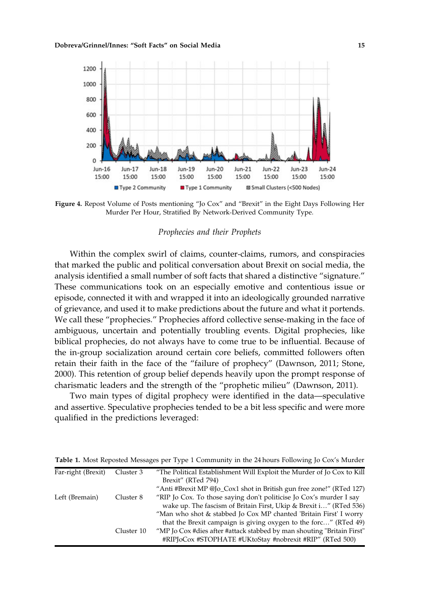

Figure 4. Repost Volume of Posts mentioning "Jo Cox" and "Brexit" in the Eight Days Following Her Murder Per Hour, Stratified By Network‐Derived Community Type.

#### Prophecies and their Prophets

Within the complex swirl of claims, counter-claims, rumors, and conspiracies that marked the public and political conversation about Brexit on social media, the analysis identified a small number of soft facts that shared a distinctive "signature." These communications took on an especially emotive and contentious issue or episode, connected it with and wrapped it into an ideologically grounded narrative of grievance, and used it to make predictions about the future and what it portends. We call these "prophecies." Prophecies afford collective sense-making in the face of ambiguous, uncertain and potentially troubling events. Digital prophecies, like biblical prophecies, do not always have to come true to be influential. Because of the in‐group socialization around certain core beliefs, committed followers often retain their faith in the face of the "failure of prophecy" (Dawnson, 2011; Stone, 2000). This retention of group belief depends heavily upon the prompt response of charismatic leaders and the strength of the "prophetic milieu" (Dawnson, 2011).

Two main types of digital prophecy were identified in the data—speculative and assertive. Speculative prophecies tended to be a bit less specific and were more qualified in the predictions leveraged:

| Far-right (Brexit) | Cluster 3  | "The Political Establishment Will Exploit the Murder of Jo Cox to Kill<br>Brexit" (RTed 794)                                       |
|--------------------|------------|------------------------------------------------------------------------------------------------------------------------------------|
|                    |            | "Anti #Brexit MP @Jo_Cox1 shot in British gun free zone!" (RTed 127)                                                               |
| Left (Bremain)     | Cluster 8  | "RIP Jo Cox. To those saying don't politicise Jo Cox's murder I say                                                                |
|                    |            | wake up. The fascism of Britain First, Ukip & Brexit i" (RTed 536)                                                                 |
|                    |            | "Man who shot & stabbed Jo Cox MP chanted 'Britain First' I worry                                                                  |
|                    |            | that the Brexit campaign is giving oxygen to the forc" (RTed 49)                                                                   |
|                    | Cluster 10 | "MP Jo Cox #dies after #attack stabbed by man shouting "Britain First"<br>#RIPJoCox #STOPHATE #UKtoStay #nobrexit #RIP" (RTed 500) |
|                    |            |                                                                                                                                    |

Table 1. Most Reposted Messages per Type 1 Community in the 24 hours Following Jo Cox's Murder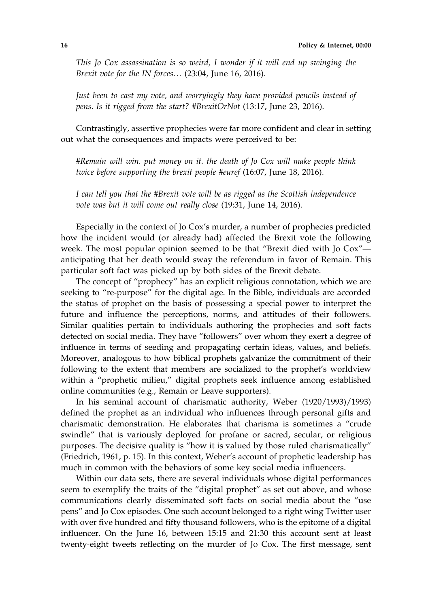This Jo Cox assassination is so weird, I wonder if it will end up swinging the Brexit vote for the IN forces… (23:04, June 16, 2016).

Just been to cast my vote, and worryingly they have provided pencils instead of pens. Is it rigged from the start? #BrexitOrNot (13:17, June 23, 2016).

Contrastingly, assertive prophecies were far more confident and clear in setting out what the consequences and impacts were perceived to be:

#Remain will win. put money on it. the death of Jo Cox will make people think twice before supporting the brexit people #euref (16:07, June 18, 2016).

I can tell you that the #Brexit vote will be as rigged as the Scottish independence vote was but it will come out really close (19:31, June 14, 2016).

Especially in the context of Jo Cox's murder, a number of prophecies predicted how the incident would (or already had) affected the Brexit vote the following week. The most popular opinion seemed to be that "Brexit died with Jo Cox"anticipating that her death would sway the referendum in favor of Remain. This particular soft fact was picked up by both sides of the Brexit debate.

The concept of "prophecy" has an explicit religious connotation, which we are seeking to "re-purpose" for the digital age. In the Bible, individuals are accorded the status of prophet on the basis of possessing a special power to interpret the future and influence the perceptions, norms, and attitudes of their followers. Similar qualities pertain to individuals authoring the prophecies and soft facts detected on social media. They have "followers" over whom they exert a degree of influence in terms of seeding and propagating certain ideas, values, and beliefs. Moreover, analogous to how biblical prophets galvanize the commitment of their following to the extent that members are socialized to the prophet's worldview within a "prophetic milieu," digital prophets seek influence among established online communities (e.g., Remain or Leave supporters).

In his seminal account of charismatic authority, Weber (1920/1993)/1993) defined the prophet as an individual who influences through personal gifts and charismatic demonstration. He elaborates that charisma is sometimes a "crude swindle" that is variously deployed for profane or sacred, secular, or religious purposes. The decisive quality is "how it is valued by those ruled charismatically" (Friedrich, 1961, p. 15). In this context, Weber's account of prophetic leadership has much in common with the behaviors of some key social media influencers.

Within our data sets, there are several individuals whose digital performances seem to exemplify the traits of the "digital prophet" as set out above, and whose communications clearly disseminated soft facts on social media about the "use pens" and Jo Cox episodes. One such account belonged to a right wing Twitter user with over five hundred and fifty thousand followers, who is the epitome of a digital influencer. On the June 16, between 15:15 and 21:30 this account sent at least twenty‐eight tweets reflecting on the murder of Jo Cox. The first message, sent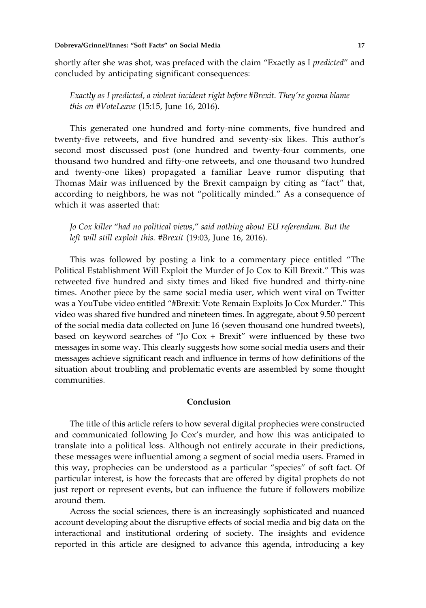shortly after she was shot, was prefaced with the claim "Exactly as I *predicted"* and concluded by anticipating significant consequences:

Exactly as I predicted, a violent incident right before #Brexit. They're gonna blame this on #VoteLeave (15:15, June 16, 2016).

This generated one hundred and forty‐nine comments, five hundred and twenty‐five retweets, and five hundred and seventy‐six likes. This author's second most discussed post (one hundred and twenty‐four comments, one thousand two hundred and fifty‐one retweets, and one thousand two hundred and twenty‐one likes) propagated a familiar Leave rumor disputing that Thomas Mair was influenced by the Brexit campaign by citing as "fact" that, according to neighbors, he was not "politically minded." As a consequence of which it was asserted that:

Jo Cox killer "had no political views," said nothing about EU referendum. But the left will still exploit this. #Brexit (19:03, June 16, 2016).

This was followed by posting a link to a commentary piece entitled "The Political Establishment Will Exploit the Murder of Jo Cox to Kill Brexit." This was retweeted five hundred and sixty times and liked five hundred and thirty-nine times. Another piece by the same social media user, which went viral on Twitter was a YouTube video entitled "#Brexit: Vote Remain Exploits Jo Cox Murder." This video was shared five hundred and nineteen times. In aggregate, about 9.50 percent of the social media data collected on June 16 (seven thousand one hundred tweets), based on keyword searches of "Jo  $Cox + B$ rexit" were influenced by these two messages in some way. This clearly suggests how some social media users and their messages achieve significant reach and influence in terms of how definitions of the situation about troubling and problematic events are assembled by some thought communities.

## Conclusion

The title of this article refers to how several digital prophecies were constructed and communicated following Jo Cox's murder, and how this was anticipated to translate into a political loss. Although not entirely accurate in their predictions, these messages were influential among a segment of social media users. Framed in this way, prophecies can be understood as a particular "species" of soft fact. Of particular interest, is how the forecasts that are offered by digital prophets do not just report or represent events, but can influence the future if followers mobilize around them.

Across the social sciences, there is an increasingly sophisticated and nuanced account developing about the disruptive effects of social media and big data on the interactional and institutional ordering of society. The insights and evidence reported in this article are designed to advance this agenda, introducing a key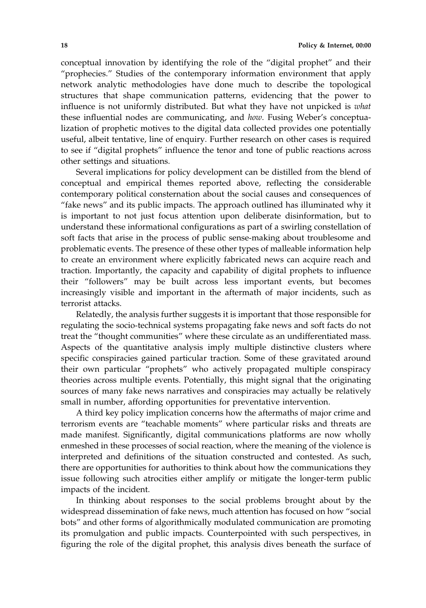conceptual innovation by identifying the role of the "digital prophet" and their "prophecies." Studies of the contemporary information environment that apply network analytic methodologies have done much to describe the topological structures that shape communication patterns, evidencing that the power to influence is not uniformly distributed. But what they have not unpicked is what these influential nodes are communicating, and how. Fusing Weber's conceptualization of prophetic motives to the digital data collected provides one potentially useful, albeit tentative, line of enquiry. Further research on other cases is required to see if "digital prophets" influence the tenor and tone of public reactions across other settings and situations.

Several implications for policy development can be distilled from the blend of conceptual and empirical themes reported above, reflecting the considerable contemporary political consternation about the social causes and consequences of "fake news" and its public impacts. The approach outlined has illuminated why it is important to not just focus attention upon deliberate disinformation, but to understand these informational configurations as part of a swirling constellation of soft facts that arise in the process of public sense-making about troublesome and problematic events. The presence of these other types of malleable information help to create an environment where explicitly fabricated news can acquire reach and traction. Importantly, the capacity and capability of digital prophets to influence their "followers" may be built across less important events, but becomes increasingly visible and important in the aftermath of major incidents, such as terrorist attacks.

Relatedly, the analysis further suggests it is important that those responsible for regulating the socio‐technical systems propagating fake news and soft facts do not treat the "thought communities" where these circulate as an undifferentiated mass. Aspects of the quantitative analysis imply multiple distinctive clusters where specific conspiracies gained particular traction. Some of these gravitated around their own particular "prophets" who actively propagated multiple conspiracy theories across multiple events. Potentially, this might signal that the originating sources of many fake news narratives and conspiracies may actually be relatively small in number, affording opportunities for preventative intervention.

A third key policy implication concerns how the aftermaths of major crime and terrorism events are "teachable moments" where particular risks and threats are made manifest. Significantly, digital communications platforms are now wholly enmeshed in these processes of social reaction, where the meaning of the violence is interpreted and definitions of the situation constructed and contested. As such, there are opportunities for authorities to think about how the communications they issue following such atrocities either amplify or mitigate the longer-term public impacts of the incident.

In thinking about responses to the social problems brought about by the widespread dissemination of fake news, much attention has focused on how "social bots" and other forms of algorithmically modulated communication are promoting its promulgation and public impacts. Counterpointed with such perspectives, in figuring the role of the digital prophet, this analysis dives beneath the surface of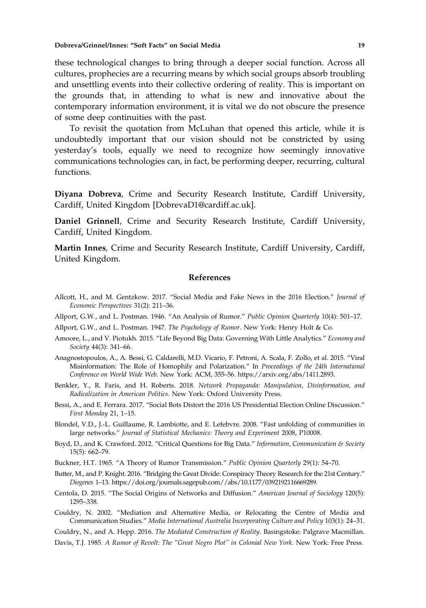these technological changes to bring through a deeper social function. Across all cultures, prophecies are a recurring means by which social groups absorb troubling and unsettling events into their collective ordering of reality. This is important on the grounds that, in attending to what is new and innovative about the contemporary information environment, it is vital we do not obscure the presence of some deep continuities with the past.

To revisit the quotation from McLuhan that opened this article, while it is undoubtedly important that our vision should not be constricted by using yesterday's tools, equally we need to recognize how seemingly innovative communications technologies can, in fact, be performing deeper, recurring, cultural functions.

Diyana Dobreva, Crime and Security Research Institute, Cardiff University, Cardiff, United Kingdom [DobrevaD1@cardiff.ac.uk].

Daniel Grinnell, Crime and Security Research Institute, Cardiff University, Cardiff, United Kingdom.

Martin Innes, Crime and Security Research Institute, Cardiff University, Cardiff, United Kingdom.

#### References

- Allcott, H., and M. Gentzkow. 2017. "Social Media and Fake News in the 2016 Election." Journal of Economic Perspectives 31(2): 211–36.
- Allport, G.W., and L. Postman. 1946. "An Analysis of Rumor." Public Opinion Quarterly 10(4): 501–17.
- Allport, G.W., and L. Postman. 1947. The Psychology of Rumor. New York: Henry Holt & Co.
- Amoore, L., and V. Piotukh. 2015. "Life Beyond Big Data: Governing With Little Analytics." Economy and Society 44(3): 341–66.
- Anagnostopoulos, A., A. Bessi, G. Caldarelli, M.D. Vicario, F. Petroni, A. Scala, F. Zollo, et al. 2015. "Viral Misinformation: The Role of Homophily and Polarization." In Proceedings of the 24th International Conference on World Wide Web. New York: ACM, 355–56.<https://arxiv.org/abs/1411.2893>.
- Benkler, Y., R. Faris, and H. Roberts. 2018. Network Propaganda: Manipulation, Disinformation, and Radicalization in American Politics. New York: Oxford University Press.
- Bessi, A., and E. Ferrara. 2017. "Social Bots Distort the 2016 US Presidential Election Online Discussion." First Monday 21, 1–15.
- Blondel, V.D., J.‐L. Guillaume, R. Lambiotte, and E. Lefebvre. 2008. "Fast unfolding of communities in large networks." Journal of Statistical Mechanics: Theory and Experiment 2008, P10008.
- Boyd, D., and K. Crawford. 2012. "Critical Questions for Big Data." Information, Communication & Society 15(5): 662–79.
- Buckner, H.T. 1965. "A Theory of Rumor Transmission." Public Opinion Quarterly 29(1): 54–70.
- Butter, M., and P. Knight. 2016. "Bridging the Great Divide: Conspiracy Theory Research for the 21st Century." Diogenes 1–13.<https://doi.org/journals.sagepub.com//abs/10.1177/0392192116669289>.
- Centola, D. 2015. "The Social Origins of Networks and Diffusion." American Journal of Sociology 120(5): 1295–338.
- Couldry, N. 2002. "Mediation and Alternative Media, or Relocating the Centre of Media and Communication Studies." Media International Australia Incorporating Culture and Policy 103(1): 24–31.

Couldry, N., and A. Hepp. 2016. The Mediated Construction of Reality. Basingstoke: Palgrave Macmillan.

Davis, T.J. 1985. A Rumor of Revolt: The "Great Negro Plot" in Colonial New York. New York: Free Press.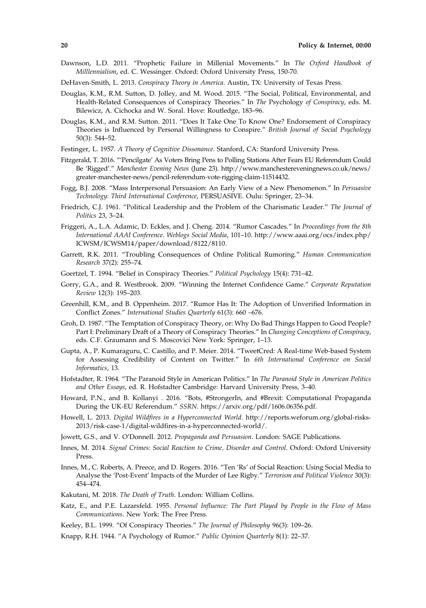- Dawnson, L.D. 2011. "Prophetic Failure in Millenial Movements." In The Oxford Handbook of Milllennialism, ed. C. Wessinger. Oxford: Oxford University Press, 150‐70.
- DeHaven-Smith, L. 2013. Conspiracy Theory in America. Austin, TX: University of Texas Press.
- Douglas, K.M., R.M. Sutton, D. Jolley, and M. Wood. 2015. "The Social, Political, Environmental, and Health-Related Consequences of Conspiracy Theories." In The Psychology of Conspiracy, eds. M. Bilewicz, A. Cichocka and W. Soral. Hove: Routledge, 183–96.
- Douglas, K.M., and R.M. Sutton. 2011. "Does It Take One To Know One? Endorsement of Conspiracy Theories is Influenced by Personal Willingness to Conspire." British Journal of Social Psychology 50(3): 544–52.
- Festinger, L. 1957. A Theory of Cognitive Dissonance. Stanford, CA: Stanford University Press.
- Fitzgerald, T. 2016. "'Pencilgate' As Voters Bring Pens to Polling Stations After Fears EU Referendum Could Be 'Rigged'." Manchester Evening News (June 23). http://www.manchestereveningnews.co.uk/news/ greater‐manchester‐news/pencil‐referendum‐vote‐rigging‐claim‐11514432.
- Fogg, B.J. 2008. "Mass Interpersonal Persuasion: An Early View of a New Phenomenon." In Persuasive Technology: Third International Conference, PERSUASIVE. Oulu: Springer, 23–34.
- Friedrich, C.J. 1961. "Political Leadership and the Problem of the Charismatic Leader." The Journal of Politics 23, 3–24.
- Friggeri, A., L.A. Adamic, D. Eckles, and J. Cheng. 2014. "Rumor Cascades." In Proceedings from the 8th International AAAI Conference. Weblogs Social Media, 101–10. [http://www.aaai.org/ocs/index.php/](http://www.aaai.org/ocs/index.php/ICWSM/ICWSM14/paper/download/8122/8110) [ICWSM/ICWSM14/paper/download/8122/8110.](http://www.aaai.org/ocs/index.php/ICWSM/ICWSM14/paper/download/8122/8110)
- Garrett, R.K. 2011. "Troubling Consequences of Online Political Rumoring." Human Communication Research 37(2): 255–74.
- Goertzel, T. 1994. "Belief in Conspiracy Theories." Political Psychology 15(4): 731–42.
- Gorry, G.A., and R. Westbrook. 2009. "Winning the Internet Confidence Game." Corporate Reputation Review 12(3): 195–203.
- Greenhill, K.M., and B. Oppenheim. 2017. "Rumor Has It: The Adoption of Unverified Information in Conflict Zones." International Studies Quarterly 61(3): 660 –676.
- Groh, D. 1987. "The Temptation of Conspiracy Theory, or: Why Do Bad Things Happen to Good People? Part I: Preliminary Draft of a Theory of Conspiracy Theories." In Changing Conceptions of Conspiracy, eds. C.F. Graumann and S. Moscovici New York: Springer, 1–13.
- Gupta, A., P. Kumaraguru, C. Castillo, and P. Meier. 2014. "TweetCred: A Real‐time Web‐based System for Assessing Credibility of Content on Twitter." In 6th International Conference on Social Informatics, 13.
- Hofstadter, R. 1964. "The Paranoid Style in American Politics." In The Paranoid Style in American Politics and Other Essays, ed. R. Hofstadter Cambridge: Harvard University Press, 3–40.
- Howard, P.N., and B. Kollanyi . 2016. "Bots, #StrongerIn, and #Brexit: Computational Propaganda During the UK‐EU Referendum." SSRN. https://arxiv.org/pdf/1606.06356.pdf.
- Howell, L. 2013. Digital Wildfires in a Hyperconnected World. http://reports.weforum.org/global-risks-2013/risk‐case‐1/digital‐wildfires‐in‐a‐hyperconnected‐world/.
- Jowett, G.S., and V. O'Donnell. 2012. Propaganda and Persuasion. London: SAGE Publications.
- Innes, M. 2014. Signal Crimes: Social Reaction to Crime, Disorder and Control. Oxford: Oxford University Press.
- Innes, M., C. Roberts, A. Preece, and D. Rogers. 2016. "Ten 'Rs' of Social Reaction: Using Social Media to Analyse the 'Post-Event' Impacts of the Murder of Lee Rigby." Terrorism and Political Violence 30(3): 454–474.
- Kakutani, M. 2018. The Death of Truth. London: William Collins.
- Katz, E., and P.E. Lazarsfeld. 1955. Personal Influence: The Part Played by People in the Flow of Mass Communications. New York: The Free Press.

Keeley, B.L. 1999. "Of Conspiracy Theories." The Journal of Philosophy 96(3): 109–26.

Knapp, R.H. 1944. "A Psychology of Rumor." Public Opinion Quarterly 8(1): 22–37.